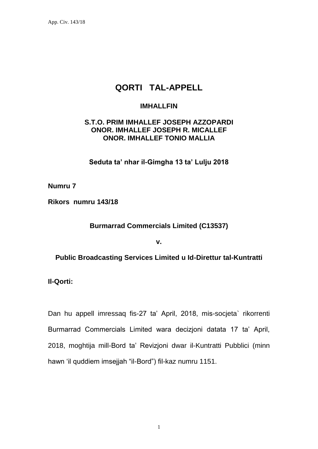App. Civ. 143/18

## **QORTI TAL-APPELL**

## **IMHALLFIN**

## **S.T.O. PRIM IMHALLEF JOSEPH AZZOPARDI ONOR. IMHALLEF JOSEPH R. MICALLEF ONOR. IMHALLEF TONIO MALLIA**

**Seduta ta' nhar il-Gimgha 13 ta' Lulju 2018**

**Numru 7**

**Rikors numru 143/18**

**Burmarrad Commercials Limited (C13537)**

**v.**

**Public Broadcasting Services Limited u Id-Direttur tal-Kuntratti**

**Il-Qorti:**

Dan hu appell imressaq fis-27 ta' April, 2018, mis-socjeta` rikorrenti Burmarrad Commercials Limited wara decizjoni datata 17 ta' April, 2018, moghtija mill-Bord ta' Revizjoni dwar il-Kuntratti Pubblici (minn hawn 'il quddiem imsejjah "il-Bord") fil-kaz numru 1151.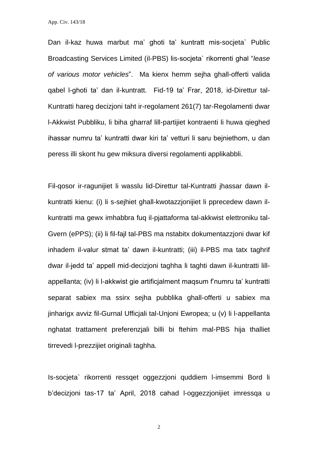App. Civ. 143/18

Dan il-kaz huwa marbut ma' ghoti ta' kuntratt mis-socjeta` Public Broadcasting Services Limited (il-PBS) lis-socjeta` rikorrenti ghal "*lease of various motor vehicles*". Ma kienx hemm sejha ghall-offerti valida qabel l-ghoti ta' dan il-kuntratt. Fid-19 ta' Frar, 2018, id-Direttur tal-Kuntratti hareg decizjoni taht ir-regolament 261(7) tar-Regolamenti dwar l-Akkwist Pubbliku, li biha gharraf lill-partijiet kontraenti li huwa qieghed ihassar numru ta' kuntratti dwar kiri ta' vetturi li saru bejniethom, u dan peress illi skont hu gew miksura diversi regolamenti applikabbli.

Fil-qosor ir-ragunijiet li wasslu lid-Direttur tal-Kuntratti jhassar dawn ilkuntratti kienu: (i) li s-sejhiet ghall-kwotazzjonijiet li pprecedew dawn ilkuntratti ma gewx imhabbra fuq il-pjattaforma tal-akkwist elettroniku tal-Gvern (ePPS); (ii) li fil-fajl tal-PBS ma nstabitx dokumentazzjoni dwar kif inhadem il-valur stmat ta' dawn il-kuntratti; (iii) il-PBS ma tatx taghrif dwar il-jedd ta' appell mid-decizjoni taghha li taghti dawn il-kuntratti lillappellanta; (iv) li l-akkwist gie artificjalment maqsum f'numru ta' kuntratti separat sabiex ma ssirx sejha pubblika ghall-offerti u sabiex ma jinharigx avviz fil-Gurnal Ufficjali tal-Unjoni Ewropea; u (v) li l-appellanta nghatat trattament preferenzjali billi bi ftehim mal-PBS hija thalliet tirrevedi l-prezzijiet originali taghha.

Is-socjeta` rikorrenti ressqet oggezzjoni quddiem l-imsemmi Bord li b'decizjoni tas-17 ta' April, 2018 cahad l-oggezzjonijiet imressqa u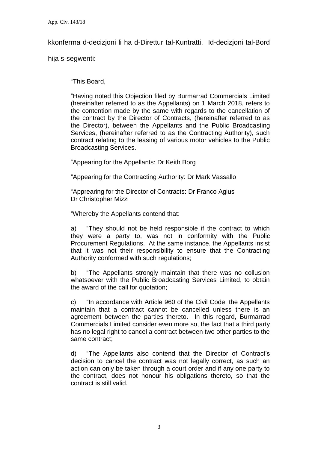kkonferma d-decizjoni li ha d-Direttur tal-Kuntratti. Id-decizjoni tal-Bord

hija s-segwenti:

"This Board,

"Having noted this Objection filed by Burmarrad Commercials Limited (hereinafter referred to as the Appellants) on 1 March 2018, refers to the contention made by the same with regards to the cancellation of the contract by the Director of Contracts, (hereinafter referred to as the Director), between the Appellants and the Public Broadcasting Services, (hereinafter referred to as the Contracting Authority), such contract relating to the leasing of various motor vehicles to the Public Broadcasting Services.

"Appearing for the Appellants: Dr Keith Borg

"Appearing for the Contracting Authority: Dr Mark Vassallo

"Apprearing for the Director of Contracts: Dr Franco Agius Dr Christopher Mizzi

"Whereby the Appellants contend that:

a) "They should not be held responsible if the contract to which they were a party to, was not in conformity with the Public Procurement Regulations. At the same instance, the Appellants insist that it was not their responsibility to ensure that the Contracting Authority conformed with such regulations;

b) "The Appellants strongly maintain that there was no collusion whatsoever with the Public Broadcasting Services Limited, to obtain the award of the call for quotation;

c) "In accordance with Article 960 of the Civil Code, the Appellants maintain that a contract cannot be cancelled unless there is an agreement between the parties thereto. In this regard, Burmarrad Commercials Limited consider even more so, the fact that a third party has no legal right to cancel a contract between two other parties to the same contract;

d) "The Appellants also contend that the Director of Contract's decision to cancel the contract was not legally correct, as such an action can only be taken through a court order and if any one party to the contract, does not honour his obligations thereto, so that the contract is still valid.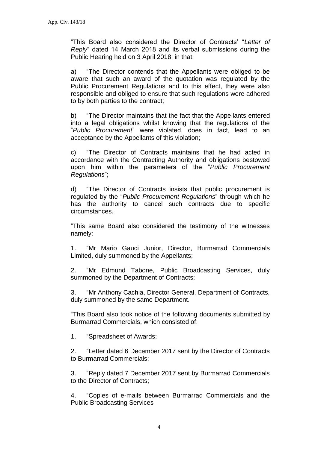"This Board also considered the Director of Contracts' "*Letter of Reply*" dated 14 March 2018 and its verbal submissions during the Public Hearing held on 3 April 2018, in that:

a) "The Director contends that the Appellants were obliged to be aware that such an award of the quotation was regulated by the Public Procurement Regulations and to this effect, they were also responsible and obliged to ensure that such regulations were adhered to by both parties to the contract;

b) "The Director maintains that the fact that the Appellants entered into a legal obligations whilst knowing that the regulations of the "*Public Procurement*" were violated, does in fact, lead to an acceptance by the Appellants of this violation;

c) "The Director of Contracts maintains that he had acted in accordance with the Contracting Authority and obligations bestowed upon him within the parameters of the "*Public Procurement Regulations*";

d) "The Director of Contracts insists that public procurement is regulated by the "*Public Procurement Regulations*" through which he has the authority to cancel such contracts due to specific circumstances.

"This same Board also considered the testimony of the witnesses namely:

1. "Mr Mario Gauci Junior, Director, Burmarrad Commercials Limited, duly summoned by the Appellants;

2. "Mr Edmund Tabone, Public Broadcasting Services, duly summoned by the Department of Contracts;

3. "Mr Anthony Cachia, Director General, Department of Contracts, duly summoned by the same Department.

"This Board also took notice of the following documents submitted by Burmarrad Commercials, which consisted of:

1. "Spreadsheet of Awards;

2. "Letter dated 6 December 2017 sent by the Director of Contracts to Burmarrad Commercials;

3. "Reply dated 7 December 2017 sent by Burmarrad Commercials to the Director of Contracts;

4. "Copies of e-mails between Burmarrad Commercials and the Public Broadcasting Services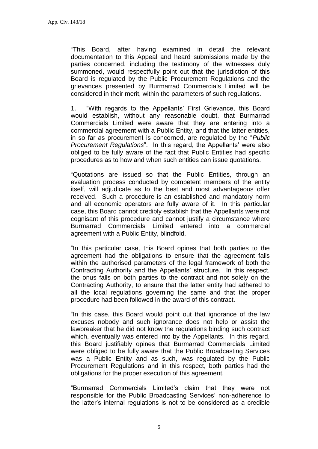"This Board, after having examined in detail the relevant documentation to this Appeal and heard submissions made by the parties concerned, including the testimony of the witnesses duly summoned, would respectfully point out that the jurisdiction of this Board is regulated by the Public Procurement Regulations and the grievances presented by Burmarrad Commercials Limited will be considered in their merit, within the parameters of such regulations.

1. "With regards to the Appellants' First Grievance, this Board would establish, without any reasonable doubt, that Burmarrad Commercials Limited were aware that they are entering into a commercial agreement with a Public Entity, and that the latter entities, in so far as procurement is concerned, are regulated by the "*Public Procurement Regulations*". In this regard, the Appellants' were also obliged to be fully aware of the fact that Public Entities had specific procedures as to how and when such entities can issue quotations.

"Quotations are issued so that the Public Entities, through an evaluation process conducted by competent members of the entity itself, will adjudicate as to the best and most advantageous offer received. Such a procedure is an established and mandatory norm and all economic operators are fully aware of it. In this particular case, this Board cannot credibly establish that the Appellants were not cognisant of this procedure and cannot justify a circumstance where Burmarrad Commercials Limited entered into a commercial agreement with a Public Entity, blindfold.

"In this particular case, this Board opines that both parties to the agreement had the obligations to ensure that the agreement falls within the authorised parameters of the legal framework of both the Contracting Authority and the Appellants' structure. In this respect, the onus falls on both parties to the contract and not solely on the Contracting Authority, to ensure that the latter entity had adhered to all the local regulations governing the same and that the proper procedure had been followed in the award of this contract.

"In this case, this Board would point out that ignorance of the law excuses nobody and such ignorance does not help or assist the lawbreaker that he did not know the regulations binding such contract which, eventually was entered into by the Appellants. In this regard, this Board justifiably opines that Burmarrad Commercials Limited were obliged to be fully aware that the Public Broadcasting Services was a Public Entity and as such, was regulated by the Public Procurement Regulations and in this respect, both parties had the obligations for the proper execution of this agreement.

"Burmarrad Commercials Limited's claim that they were not responsible for the Public Broadcasting Services' non-adherence to the latter's internal regulations is not to be considered as a credible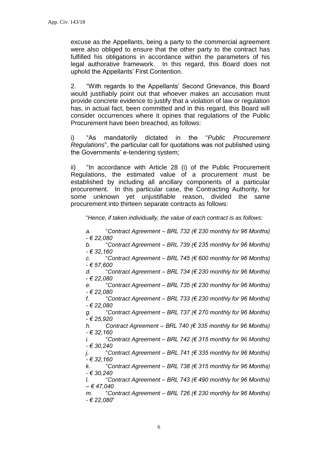excuse as the Appellants, being a party to the commercial agreement were also obliged to ensure that the other party to the contract has fulfilled his obligations in accordance within the parameters of his legal authorative framework. In this regard, this Board does not uphold the Appellants' First Contention.

2. "With regards to the Appellants' Second Grievance, this Board would justifiably point out that whoever makes an accusation must provide concrete evidence to justify that a violation of law or regulation has, in actual fact, been committed and in this regard, this Board will consider occurrences where it opines that regulations of the Public Procurement have been breached, as follows:

i) "As mandatorily dictated in the "*Public Procurement Regulations*", the particular call for quotations was not published using the Governments' e-tendering system;

ii) "In accordance with Article 28 (i) of the Public Procurement Regulations, the estimated value of a procurement must be established by including all ancillary components of a particular procurement. In this particular case, the Contracting Authority, for some unknown yet unjustifiable reason, divided the same procurement into thirteen separate contracts as follows:

"*Hence, if taken individually, the value of each contract is as follows:*

*a.* "*Contract Agreement – BRL 732 (€ 230 monthly for 96 Months) - € 22,080 b.* "*Contract Agreement – BRL 739 (€ 235 monthly for 96 Months) - € 32,160 c.* "*Contract Agreement – BRL 745 (€ 600 monthly for 96 Months) - € 57,600 d.* "*Contract Agreement – BRL 734 (€ 230 monthly for 96 Months) - € 22,080 e.* "*Contract Agreement – BRL 735 (€ 230 monthly for 96 Months) - € 22,080 f.* "*Contract Agreement – BRL 733 (€ 230 monthly for 96 Months) - € 22,080 g.* "*Contract Agreement – BRL 737 (€ 270 monthly for 96 Months) - € 25,920 h. Contract Agreement – BRL 740 (€ 335 monthly for 96 Months) - € 32,160 i.* "*Contract Agreement – BRL 742 (€ 315 monthly for 96 Months) - € 30,240 j.* "*Contract Agreement – BRL 741 (€ 335 monthly for 96 Months) - € 32,160 k.* "*Contract Agreement – BRL 738 (€ 315 monthly for 96 Months) - € 30,240 l.* "*Contract Agreement – BRL 743 (€ 490 monthly for 96 Months) – € 47,040 m.* "*Contract Agreement – BRL 726 (€ 230 monthly for 96 Months) - € 22,080*"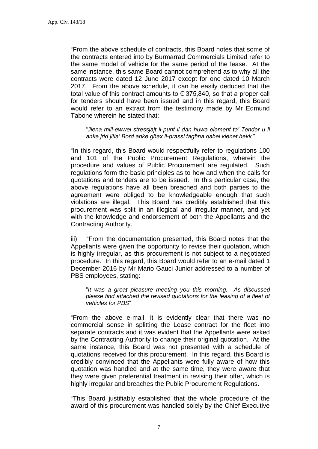"From the above schedule of contracts, this Board notes that some of the contracts entered into by Burmarrad Commercials Limited refer to the same model of vehicle for the same period of the lease. At the same instance, this same Board cannot comprehend as to why all the contracts were dated 12 June 2017 except for one dated 10 March 2017. From the above schedule, it can be easily deduced that the total value of this contract amounts to  $\epsilon$  375,840, so that a proper call for tenders should have been issued and in this regard, this Board would refer to an extract from the testimony made by Mr Edmund Tabone wherein he stated that:

"*Jiena mill-ewwel stressjajt il-punt li dan huwa element ta' Tender u li anke jrid jitla' Bord anke għax il-prassi tagħna qabel kienet hekk*."

"In this regard, this Board would respectfully refer to regulations 100 and 101 of the Public Procurement Regulations, wherein the procedure and values of Public Procurement are regulated. Such regulations form the basic principles as to how and when the calls for quotations and tenders are to be issued. In this particular case, the above regulations have all been breached and both parties to the agreement were obliged to be knowledgeable enough that such violations are illegal. This Board has credibly established that this procurement was split in an illogical and irregular manner, and yet with the knowledge and endorsement of both the Appellants and the Contracting Authority.

iii) "From the documentation presented, this Board notes that the Appellants were given the opportunity to revise their quotation, which is highly irregular, as this procurement is not subject to a negotiated procedure. In this regard, this Board would refer to an e-mail dated 1 December 2016 by Mr Mario Gauci Junior addressed to a number of PBS employees, stating:

"*It was a great pleasure meeting you this morning. As discussed please find attached the revised quotations for the leasing of a fleet of vehicles for PBS*"

"From the above e-mail, it is evidently clear that there was no commercial sense in splitting the Lease contract for the fleet into separate contracts and it was evident that the Appellants were asked by the Contracting Authority to change their original quotation. At the same instance, this Board was not presented with a schedule of quotations received for this procurement. In this regard, this Board is credibly convinced that the Appellants were fully aware of how this quotation was handled and at the same time, they were aware that they were given preferential treatment in revising their offer, which is highly irregular and breaches the Public Procurement Regulations.

"This Board justifiably established that the whole procedure of the award of this procurement was handled solely by the Chief Executive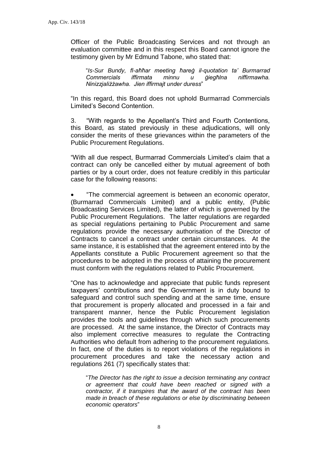Officer of the Public Broadcasting Services and not through an evaluation committee and in this respect this Board cannot ignore the testimony given by Mr Edmund Tabone, who stated that:

"*Is-Sur Bundy, fl-aħħar meeting ħareġ il-quotation ta' Burmarrad Commercials iffirmata minnu u ġiegħlna niffirmawha. Ninizzjaliżżawha. Jien iffirmajt under duress*"

"In this regard, this Board does not uphold Burmarrad Commercials Limited's Second Contention.

3. "With regards to the Appellant's Third and Fourth Contentions, this Board, as stated previously in these adjudications, will only consider the merits of these grievances within the parameters of the Public Procurement Regulations.

"With all due respect, Burmarrad Commercials Limited's claim that a contract can only be cancelled either by mutual agreement of both parties or by a court order, does not feature credibly in this particular case for the following reasons:

 "The commercial agreement is between an economic operator, (Burmarrad Commercials Limited) and a public entity, (Public Broadcasting Services Limited), the latter of which is governed by the Public Procurement Regulations. The latter regulations are regarded as special regulations pertaining to Public Procurement and same regulations provide the necessary authorisation of the Director of Contracts to cancel a contract under certain circumstances. At the same instance, it is established that the agreement entered into by the Appellants constitute a Public Procurement agreement so that the procedures to be adopted in the process of attaining the procurement must conform with the regulations related to Public Procurement.

"One has to acknowledge and appreciate that public funds represent taxpayers' contributions and the Government is in duty bound to safeguard and control such spending and at the same time, ensure that procurement is properly allocated and processed in a fair and transparent manner, hence the Public Procurement legislation provides the tools and guidelines through which such procurements are processed. At the same instance, the Director of Contracts may also implement corrective measures to regulate the Contracting Authorities who default from adhering to the procurement regulations. In fact, one of the duties is to report violations of the regulations in procurement procedures and take the necessary action and regulations 261 (7) specifically states that:

"*The Director has the right to issue a decision terminating any contract or agreement that could have been reached or signed with a contractor, if it transpires that the award of the contract has been made in breach of these regulations or else by discriminating between economic operators*"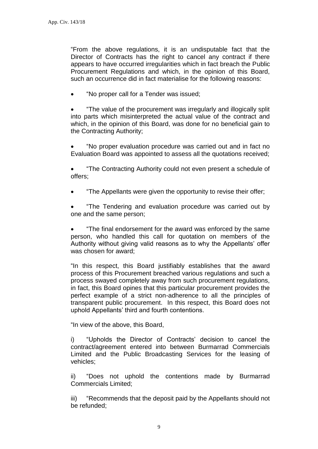"From the above regulations, it is an undisputable fact that the Director of Contracts has the right to cancel any contract if there appears to have occurred irregularities which in fact breach the Public Procurement Regulations and which, in the opinion of this Board, such an occurrence did in fact materialise for the following reasons:

"No proper call for a Tender was issued;

 "The value of the procurement was irregularly and illogically split into parts which misinterpreted the actual value of the contract and which, in the opinion of this Board, was done for no beneficial gain to the Contracting Authority;

 "No proper evaluation procedure was carried out and in fact no Evaluation Board was appointed to assess all the quotations received;

 "The Contracting Authority could not even present a schedule of offers;

"The Appellants were given the opportunity to revise their offer;

 "The Tendering and evaluation procedure was carried out by one and the same person;

 "The final endorsement for the award was enforced by the same person, who handled this call for quotation on members of the Authority without giving valid reasons as to why the Appellants' offer was chosen for award;

"In this respect, this Board justifiably establishes that the award process of this Procurement breached various regulations and such a process swayed completely away from such procurement regulations, in fact, this Board opines that this particular procurement provides the perfect example of a strict non-adherence to all the principles of transparent public procurement. In this respect, this Board does not uphold Appellants' third and fourth contentions.

"In view of the above, this Board,

i) "Upholds the Director of Contracts' decision to cancel the contract/agreement entered into between Burmarrad Commercials Limited and the Public Broadcasting Services for the leasing of vehicles;

ii) "Does not uphold the contentions made by Burmarrad Commercials Limited;

iii) "Recommends that the deposit paid by the Appellants should not be refunded;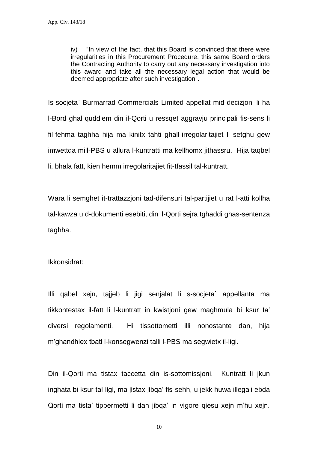iv) "In view of the fact, that this Board is convinced that there were irregularities in this Procurement Procedure, this same Board orders the Contracting Authority to carry out any necessary investigation into this award and take all the necessary legal action that would be deemed appropriate after such investigation".

Is-socjeta` Burmarrad Commercials Limited appellat mid-decizjoni li ha l-Bord ghal quddiem din il-Qorti u ressqet aggravju principali fis-sens li fil-fehma taghha hija ma kinitx tahti ghall-irregolaritajiet li setghu gew imwettqa mill-PBS u allura l-kuntratti ma kellhomx jithassru. Hija taqbel li, bhala fatt, kien hemm irregolaritajiet fit-tfassil tal-kuntratt.

Wara li semghet it-trattazzjoni tad-difensuri tal-partijiet u rat l-atti kollha tal-kawza u d-dokumenti esebiti, din il-Qorti sejra tghaddi ghas-sentenza taghha.

Ikkonsidrat:

Illi qabel xejn, tajjeb li jigi senjalat li s-socjeta` appellanta ma tikkontestax il-fatt li l-kuntratt in kwistjoni gew maghmula bi ksur ta' diversi regolamenti. Hi tissottometti illi nonostante dan, hija m'ghandhiex tbati l-konsegwenzi talli l-PBS ma segwietx il-ligi.

Din il-Qorti ma tistax taccetta din is-sottomissjoni. Kuntratt li jkun inghata bi ksur tal-ligi, ma jistax jibqa' fis-sehh, u jekk huwa illegali ebda Qorti ma tista' tippermetti li dan jibqa' in vigore qiesu xein m'hu xein.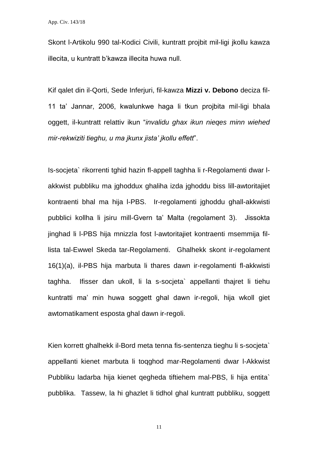Skont l-Artikolu 990 tal-Kodici Civili, kuntratt projbit mil-ligi jkollu kawza illecita, u kuntratt b'kawza illecita huwa null.

Kif qalet din il-Qorti, Sede Inferjuri, fil-kawza **Mizzi v. Debono** deciza fil-11 ta' Jannar, 2006, kwalunkwe haga li tkun projbita mil-ligi bhala oggett, il-kuntratt relattiv ikun "*invalidu ghax ikun nieqes minn wiehed mir-rekwiziti tieghu, u ma jkunx jista' jkollu effett*".

Is-socjeta` rikorrenti tghid hazin fl-appell taghha li r-Regolamenti dwar lakkwist pubbliku ma jghoddux ghaliha izda jghoddu biss lill-awtoritajiet kontraenti bhal ma hija l-PBS. Ir-regolamenti jghoddu ghall-akkwisti pubblici kollha li jsiru mill-Gvern ta' Malta (regolament 3). Jissokta jinghad li l-PBS hija mnizzla fost l-awtoritajiet kontraenti msemmija fillista tal-Ewwel Skeda tar-Regolamenti. Ghalhekk skont ir-regolament 16(1)(a), il-PBS hija marbuta li thares dawn ir-regolamenti fl-akkwisti taghha. Ifisser dan ukoll, li la s-socjeta` appellanti thajret li tiehu kuntratti ma' min huwa soggett ghal dawn ir-regoli, hija wkoll giet awtomatikament esposta ghal dawn ir-regoli.

Kien korrett ghalhekk il-Bord meta tenna fis-sentenza tieghu li s-socjeta` appellanti kienet marbuta li toqghod mar-Regolamenti dwar l-Akkwist Pubbliku ladarba hija kienet qegheda tiftiehem mal-PBS, li hija entita` pubblika. Tassew, la hi ghazlet li tidhol ghal kuntratt pubbliku, soggett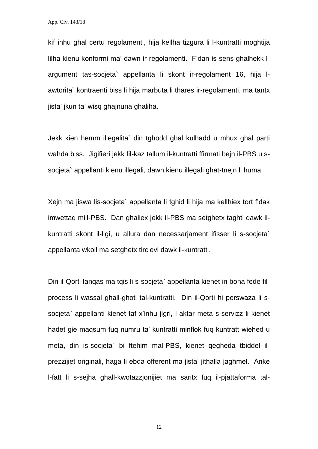App. Civ. 143/18

kif inhu ghal certu regolamenti, hija kellha tizgura li l-kuntratti moghtija lilha kienu konformi ma' dawn ir-regolamenti. F'dan is-sens ghalhekk largument tas-socjeta` appellanta li skont ir-regolament 16, hija lawtorita` kontraenti biss li hija marbuta li thares ir-regolamenti, ma tantx jista' jkun ta' wisq ghajnuna ghaliha.

Jekk kien hemm illegalita` din tghodd ghal kulhadd u mhux ghal parti wahda biss. Jigifieri jekk fil-kaz tallum il-kuntratti ffirmati bejn il-PBS u ssocjeta` appellanti kienu illegali, dawn kienu illegali ghat-tnejn li huma.

Xejn ma jiswa lis-socjeta` appellanta li tghid li hija ma kellhiex tort f'dak imwettaq mill-PBS. Dan ghaliex jekk il-PBS ma setghetx taghti dawk ilkuntratti skont il-ligi, u allura dan necessarjament ifisser li s-socjeta` appellanta wkoll ma setghetx tircievi dawk il-kuntratti.

Din il-Qorti lanqas ma tqis li s-socjeta` appellanta kienet in bona fede filprocess li wassal ghall-ghoti tal-kuntratti. Din il-Qorti hi perswaza li ssocjeta` appellanti kienet taf x'inhu jigri, l-aktar meta s-servizz li kienet hadet gie maqsum fuq numru ta' kuntratti minflok fuq kuntratt wiehed u meta, din is-socjeta` bi ftehim mal-PBS, kienet qegheda tbiddel ilprezzijiet originali, haga li ebda offerent ma jista' jithalla jaghmel. Anke l-fatt li s-sejha ghall-kwotazzjonijiet ma saritx fuq il-pjattaforma tal-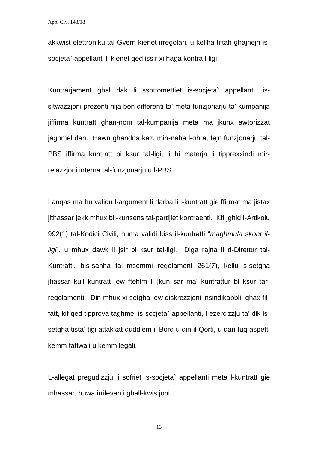akkwist elettroniku tal-Gvern kienet irregolari, u kellha tiftah ghajnejn issocjeta` appellanti li kienet qed issir xi haga kontra l-ligi.

Kuntrarjament ghal dak li ssottomettiet is-socjeta` appellanti, issitwazzjoni prezenti hija ben differenti ta' meta funzjonarju ta' kumpanija jiffirma kuntratt ghan-nom tal-kumpanija meta ma jkunx awtorizzat jaghmel dan. Hawn ghandna kaz, min-naha l-ohra, fejn funzjonarju tal-PBS iffirma kuntratt bi ksur tal-ligi, li hi materja li tipprexxindi mirrelazzjoni interna tal-funzjonarju u l-PBS.

Lanqas ma hu validu l-argument li darba li l-kuntratt gie ffirmat ma jistax jithassar jekk mhux bil-kunsens tal-partijiet kontraenti. Kif jghid l-Artikolu 992(1) tal-Kodici Civili, huma validi biss il-kuntratti "*maghmula skont illigi*", u mhux dawk li jsir bi ksur tal-ligi. Diga rajna li d-Direttur tal-Kuntratti, bis-sahha tal-imsemmi regolament 261(7), kellu s-setgha jhassar kull kuntratt jew ftehim li jkun sar ma' kuntrattur bi ksur tarregolamenti. Din mhux xi setgha jew diskrezzjoni insindikabbli, ghax filfatt, kif qed tipprova taghmel is-socjeta` appellanti, l-ezercizzju ta' dik issetgha tista' tigi attakkat quddiem il-Bord u din il-Qorti, u dan fuq aspetti kemm fattwali u kemm legali.

L-allegat pregudizzju li sofriet is-socjeta` appellanti meta l-kuntratt gie mhassar, huwa irrilevanti ghall-kwistjoni.